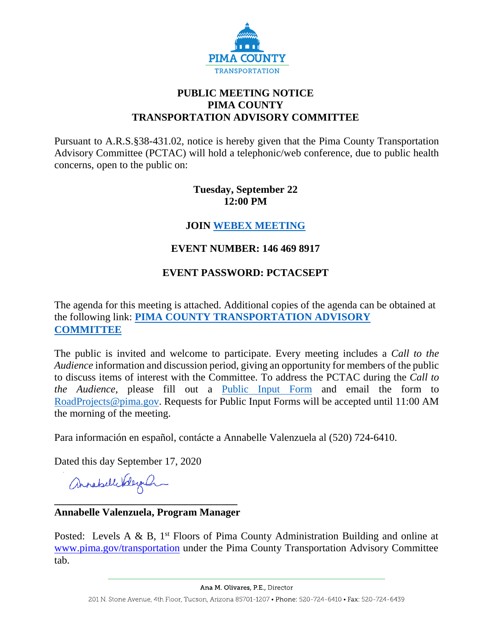

## **PUBLIC MEETING NOTICE PIMA COUNTY TRANSPORTATION ADVISORY COMMITTEE**

Pursuant to A.R.S.§38-431.02, notice is hereby given that the Pima County Transportation Advisory Committee (PCTAC) will hold a telephonic/web conference, due to public health concerns, open to the public on:

## **Tuesday, September 22 12:00 PM**

## **JOIN [WEBEX MEETING](https://pimacounty.webex.com/mw3300/mywebex/default.do?siteurl=pimacounty&service=6&main_url=%2Fec3300%2Feventcenter%2Fmainframe.do%3Fsiteurl%3Dpimacounty%26main_url%3D%252Fec3300%252Feventcenter%252Fevent%252FeventAction.do%253Fsiteurl%253Dpimacounty%2526theAction%253Dinfo_start%2526path%253Dinfo%2526confViewID%253D170682822648938189)**

## **EVENT NUMBER: 146 469 8917**

## **EVENT PASSWORD: PCTACSEPT**

The agenda for this meeting is attached. Additional copies of the agenda can be obtained at the following link: **[PIMA COUNTY TRANSPORTATION ADVISORY](https://webcms.pima.gov/cms/One.aspx?portalId=169&pageId=355530)  [COMMITTEE](https://webcms.pima.gov/cms/One.aspx?portalId=169&pageId=355530)**

The public is invited and welcome to participate. Every meeting includes a *Call to the Audience* information and discussion period, giving an opportunity for members of the public to discuss items of interest with the Committee. To address the PCTAC during the *Call to the Audience,* please fill out a [Public Input Form](https://webcms.pima.gov/UserFiles/Servers/Server_6/File/Government/Transportation/TransportationAdvisoryCommittee/PCTAC%20Public%20Input%20Form%20200728.pdf) and email the form to [RoadProjects@pima.gov.](mailto:RoadProjects@pima.gov) Requests for Public Input Forms will be accepted until 11:00 AM the morning of the meeting.

Para información en español, contácte a Annabelle Valenzuela al (520) 724-6410.

Dated this day September 17, 2020

annahellebleyan

### **\_\_\_\_\_\_\_\_\_\_\_\_\_\_\_\_\_\_\_\_\_\_\_\_\_\_\_\_\_\_\_\_\_\_\_ Annabelle Valenzuela, Program Manager**

Posted: Levels A & B,  $1<sup>st</sup>$  Floors of Pima County Administration Building and online at [www.pima.gov/transportation](http://www.pima.gov/transportation) under the Pima County Transportation Advisory Committee tab.